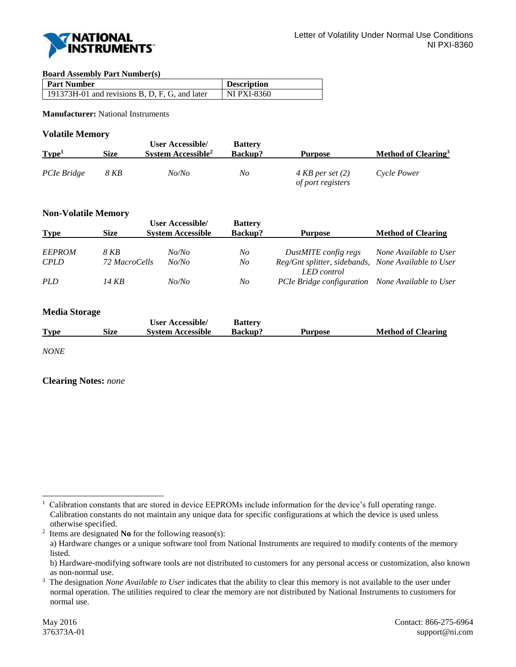

#### **Board Assembly Part Number(s)**

| <b>Part Number</b>                               | <b>Description</b> |
|--------------------------------------------------|--------------------|
| $191373H-01$ and revisions B, D, F, G, and later | <b>NI PXI-8360</b> |

**Manufacturer:** National Instruments

## **Volatile Memory**

| Type <sup>1</sup> | Size | User Accessible/<br>System Accessible <sup>2</sup> | <b>Battery</b><br><b>Backup?</b> | Purpose                                          | Method of Clearing <sup>3</sup> |
|-------------------|------|----------------------------------------------------|----------------------------------|--------------------------------------------------|---------------------------------|
| PCIe Bridge       | 8 KB | No/No                                              | No                               | $4 KB$ per set $(2)$<br><i>of port registers</i> | Cycle Power                     |

## **Non-Volatile Memory**

| <b>Type</b>   | <b>Size</b>   | <b>User Accessible/</b><br><b>System Accessible</b> | <b>Battery</b><br>Backup? | <b>Purpose</b>                                                     | <b>Method of Clearing</b> |
|---------------|---------------|-----------------------------------------------------|---------------------------|--------------------------------------------------------------------|---------------------------|
| <b>EEPROM</b> | 8 KB          | No/No                                               | No                        | DustMITE config regs                                               | None Available to User    |
| <b>CPLD</b>   | 72 MacroCells | No/No                                               | No                        | Reg/Gnt splitter, sidebands, None Available to User<br>LED control |                           |
| <i>PLD</i>    | 14 KB         | No/No                                               | No                        | PCIe Bridge configuration None Available to User                   |                           |
|               |               |                                                     |                           |                                                                    |                           |

## **Media Storage**

|             |      | <b>User Accessible/</b>  | <b>Battery</b> |         |                           |
|-------------|------|--------------------------|----------------|---------|---------------------------|
| <b>Type</b> | Size | <b>System Accessible</b> | <b>Backup?</b> | Purpose | <b>Method of Clearing</b> |

*NONE*

#### **Clearing Notes:** *none*

l 1 Calibration constants that are stored in device EEPROMs include information for the device's full operating range. Calibration constants do not maintain any unique data for specific configurations at which the device is used unless otherwise specified.

<sup>2</sup> Items are designated **No** for the following reason(s):

a) Hardware changes or a unique software tool from National Instruments are required to modify contents of the memory listed.

b) Hardware-modifying software tools are not distributed to customers for any personal access or customization, also known as non-normal use.

<sup>3</sup> The designation *None Available to User* indicates that the ability to clear this memory is not available to the user under normal operation. The utilities required to clear the memory are not distributed by National Instruments to customers for normal use.